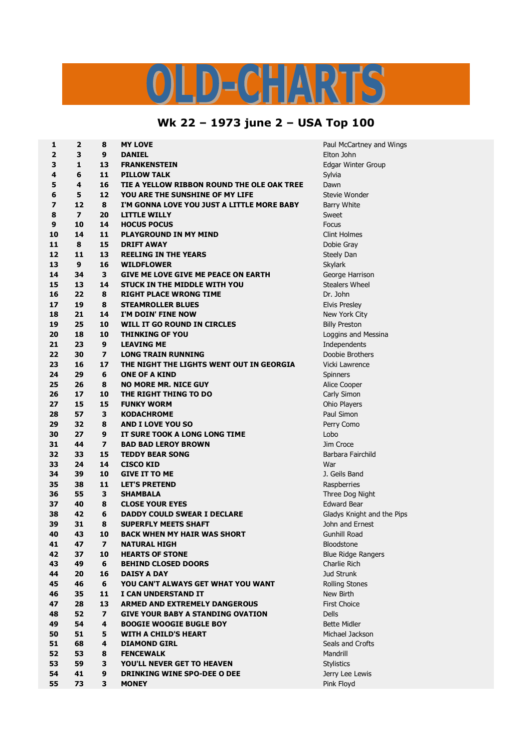## LD-CHARTS

## **Wk 22 – 1973 june 2 – USA Top 100**

| 1              | 2                        | 8                       | <b>MY LOVE</b>                             | Paul McCartney and        |
|----------------|--------------------------|-------------------------|--------------------------------------------|---------------------------|
| $\overline{2}$ | 3                        | 9                       | <b>DANIEL</b>                              | Elton John                |
| 3              | $\mathbf{1}$             | 13                      | <b>FRANKENSTEIN</b>                        | Edgar Winter Group        |
| 4              | 6                        | 11                      | <b>PILLOW TALK</b>                         | Sylvia                    |
| 5              | 4                        | 16                      | TIE A YELLOW RIBBON ROUND THE OLE OAK TREE | Dawn                      |
| 6              | 5                        | 12                      | YOU ARE THE SUNSHINE OF MY LIFE            | Stevie Wonder             |
| 7              | 12                       | 8                       | I'M GONNA LOVE YOU JUST A LITTLE MORE BABY | <b>Barry White</b>        |
| 8              | $\overline{\phantom{a}}$ | 20                      | <b>LITTLE WILLY</b>                        | Sweet                     |
| 9              | 10                       | 14                      | <b>HOCUS POCUS</b>                         | <b>Focus</b>              |
| 10             | 14                       | 11                      | <b>PLAYGROUND IN MY MIND</b>               | <b>Clint Holmes</b>       |
| 11             | 8                        | 15                      | <b>DRIFT AWAY</b>                          | Dobie Gray                |
| 12             | 11                       | 13                      | <b>REELING IN THE YEARS</b>                | Steely Dan                |
| 13             | 9                        | 16                      | <b>WILDFLOWER</b>                          | Skylark                   |
| 14             | 34                       | 3                       | <b>GIVE ME LOVE GIVE ME PEACE ON EARTH</b> | George Harrison           |
| 15             | 13                       | 14                      | STUCK IN THE MIDDLE WITH YOU               | <b>Stealers Wheel</b>     |
| 16             | 22                       | 8                       | <b>RIGHT PLACE WRONG TIME</b>              | Dr. John                  |
| 17             | 19                       | 8                       | <b>STEAMROLLER BLUES</b>                   | <b>Elvis Presley</b>      |
| 18             | 21                       | 14                      | I'M DOIN' FINE NOW                         | New York City             |
| 19             | 25                       | 10                      | WILL IT GO ROUND IN CIRCLES                | <b>Billy Preston</b>      |
| 20             | 18                       | 10                      | <b>THINKING OF YOU</b>                     | Loggins and Messina       |
| 21             | 23                       | 9                       | <b>LEAVING ME</b>                          | Independents              |
| 22             | 30                       | $\overline{\mathbf{z}}$ | <b>LONG TRAIN RUNNING</b>                  | Doobie Brothers           |
| 23             | 16                       | 17                      | THE NIGHT THE LIGHTS WENT OUT IN GEORGIA   | Vicki Lawrence            |
| 24             | 29                       | 6                       | <b>ONE OF A KIND</b>                       | Spinners                  |
| 25             | 26                       | 8                       | <b>NO MORE MR. NICE GUY</b>                | Alice Cooper              |
| 26             | 17                       | 10                      | THE RIGHT THING TO DO                      | Carly Simon               |
| 27             | 15                       | 15                      | <b>FUNKY WORM</b>                          | Ohio Players              |
| 28             | 57                       | 3                       | <b>KODACHROME</b>                          | Paul Simon                |
| 29             | 32                       | 8                       | <b>AND I LOVE YOU SO</b>                   | Perry Como                |
| 30             | 27                       | 9                       | IT SURE TOOK A LONG LONG TIME              | Lobo                      |
| 31             | 44                       | $\overline{ }$          | <b>BAD BAD LEROY BROWN</b>                 | Jim Croce                 |
| 32             | 33                       | 15                      | <b>TEDDY BEAR SONG</b>                     | Barbara Fairchild         |
| 33             | 24                       | 14                      |                                            | War                       |
| 34             | 39                       | 10                      | <b>CISCO KID</b><br><b>GIVE IT TO ME</b>   | J. Geils Band             |
| 35             | 38                       | 11                      | <b>LET'S PRETEND</b>                       |                           |
|                |                          | 3                       |                                            | Raspberries               |
| 36             | 55                       |                         | <b>SHAMBALA</b>                            | Three Dog Night           |
| 37             | 40                       | 8                       | <b>CLOSE YOUR EYES</b>                     | <b>Edward Bear</b>        |
| 38             | 42                       | 6                       | <b>DADDY COULD SWEAR I DECLARE</b>         | Gladys Knight and th      |
| 39             | 31                       | 8                       | <b>SUPERFLY MEETS SHAFT</b>                | John and Ernest           |
| 40             | 43                       | 10                      | <b>BACK WHEN MY HAIR WAS SHORT</b>         | Gunhill Road              |
| 41             | 47                       | 7                       | NATURAL HIGH                               | Bloodstone                |
| 42             | 37                       | 10                      | <b>HEARTS OF STONE</b>                     | <b>Blue Ridge Rangers</b> |
| 43             | 49                       | 6                       | <b>BEHIND CLOSED DOORS</b>                 | Charlie Rich              |
| 44             | 20                       | 16                      | <b>DAISY A DAY</b>                         | Jud Strunk                |
| 45             | 46                       | 6                       | YOU CAN'T ALWAYS GET WHAT YOU WANT         | <b>Rolling Stones</b>     |
| 46             | 35                       | 11                      | I CAN UNDERSTAND IT                        | New Birth                 |
| 47             | 28                       | 13                      | <b>ARMED AND EXTREMELY DANGEROUS</b>       | <b>First Choice</b>       |
| 48             | 52                       | $\overline{ }$          | <b>GIVE YOUR BABY A STANDING OVATION</b>   | <b>Dells</b>              |
| 49             | 54                       | 4                       | <b>BOOGIE WOOGIE BUGLE BOY</b>             | <b>Bette Midler</b>       |
| 50             | 51                       | 5                       | <b>WITH A CHILD'S HEART</b>                | Michael Jackson           |
| 51             | 68                       | 4                       | <b>DIAMOND GIRL</b>                        | Seals and Crofts          |
| 52             | 53                       | 8                       | <b>FENCEWALK</b>                           | Mandrill                  |
| 53             | 59                       | 3                       | YOU'LL NEVER GET TO HEAVEN                 | <b>Stylistics</b>         |
| 54             | 41                       | 9                       | <b>DRINKING WINE SPO-DEE O DEE</b>         | Jerry Lee Lewis           |
| 55             | 73                       | 3                       | <b>MONEY</b>                               | Pink Floyd                |

 **2 8 MY LOVE** Paul McCartney and Wings and the Pips